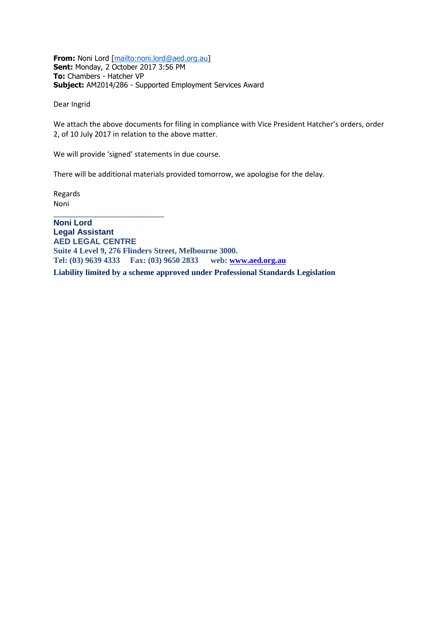**From:** Noni Lord [\[mailto:noni.lord@aed.org.au\]](mailto:noni.lord@aed.org.au) **Sent:** Monday, 2 October 2017 3:56 PM **To:** Chambers - Hatcher VP **Subject:** AM2014/286 - Supported Employment Services Award

Dear Ingrid

We attach the above documents for filing in compliance with Vice President Hatcher's orders, order 2, of 10 July 2017 in relation to the above matter.

We will provide 'signed' statements in due course.

There will be additional materials provided tomorrow, we apologise for the delay.

Regards Noni

\_\_\_\_\_\_\_\_\_\_\_\_\_\_\_\_\_\_\_\_\_\_\_\_\_\_\_\_\_\_ **Noni Lord Legal Assistant AED LEGAL CENTRE Suite 4 Level 9, 276 Flinders Street, Melbourne 3000. Tel: (03) 9639 4333 Fax: (03) 9650 2833 web:<www.aed.org.au> Liability limited by a scheme approved under Professional Standards Legislation**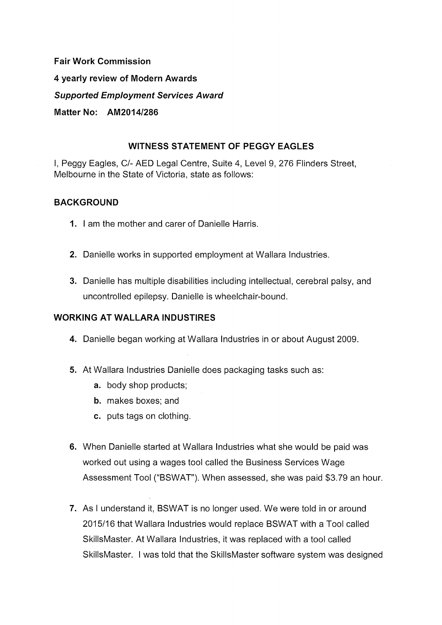**Fair Work Commission** 4 yearly review of Modern Awards **Supported Employment Services Award** Matter No: AM2014/286

### **WITNESS STATEMENT OF PEGGY EAGLES**

I, Peggy Eagles, C/- AED Legal Centre, Suite 4, Level 9, 276 Flinders Street, Melbourne in the State of Victoria, state as follows:

### **BACKGROUND**

- 1. I am the mother and carer of Danielle Harris.
- 2. Danielle works in supported employment at Wallara Industries.
- 3. Danielle has multiple disabilities including intellectual, cerebral palsy, and uncontrolled epilepsy. Danielle is wheelchair-bound.

### **WORKING AT WALLARA INDUSTIRES**

- 4. Danielle began working at Wallara Industries in or about August 2009.
- 5. At Wallara Industries Danielle does packaging tasks such as:
	- a. body shop products;
	- **b.** makes boxes: and
	- c. puts tags on clothing.
- 6. When Danielle started at Wallara Industries what she would be paid was worked out using a wages tool called the Business Services Wage Assessment Tool ("BSWAT"). When assessed, she was paid \$3.79 an hour.
- 7. As I understand it, BSWAT is no longer used. We were told in or around 2015/16 that Wallara Industries would replace BSWAT with a Tool called SkillsMaster. At Wallara Industries, it was replaced with a tool called SkillsMaster. I was told that the SkillsMaster software system was designed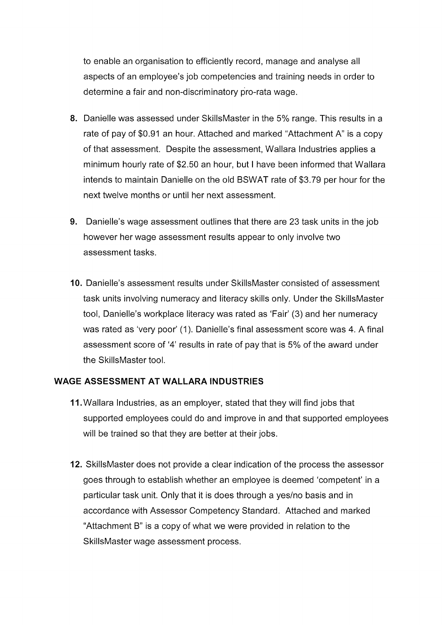to enable an organisation to efficiently record, manage and analyse all aspects of an employee's job competencies and training needs in order to determine a fair and non-discriminatory pro-rata wage.

- 8. Danielle was assessed under SkillsMaster in the 5% range. This results in a rate of pay of \$0.91 an hour. Attached and marked "Attachment A" is a copy of that assessment. Despite the assessment, Wallara Industries applies a minimum hourly rate of \$2.50 an hour, but I have been informed that Wallara intends to maintain Danielle on the old BSWAT rate of \$3.79 per hour for the next twelve months or until her next assessment.
- 9. Danielle's wage assessment outlines that there are 23 task units in the job however her wage assessment results appear to only involve two assessment tasks.
- 10. Danielle's assessment results under SkillsMaster consisted of assessment task units involving numeracy and literacy skills only. Under the SkillsMaster tool, Danielle's workplace literacy was rated as 'Fair' (3) and her numeracy was rated as 'very poor' (1). Danielle's final assessment score was 4. A final assessment score of '4' results in rate of pay that is 5% of the award under the SkillsMaster tool.

### **WAGE ASSESSMENT AT WALLARA INDUSTRIES**

- 11. Wallara Industries, as an employer, stated that they will find jobs that supported employees could do and improve in and that supported employees will be trained so that they are better at their jobs.
- 12. Skills Master does not provide a clear indication of the process the assessor goes through to establish whether an employee is deemed 'competent' in a particular task unit. Only that it is does through a yes/no basis and in accordance with Assessor Competency Standard. Attached and marked "Attachment B" is a copy of what we were provided in relation to the SkillsMaster wage assessment process.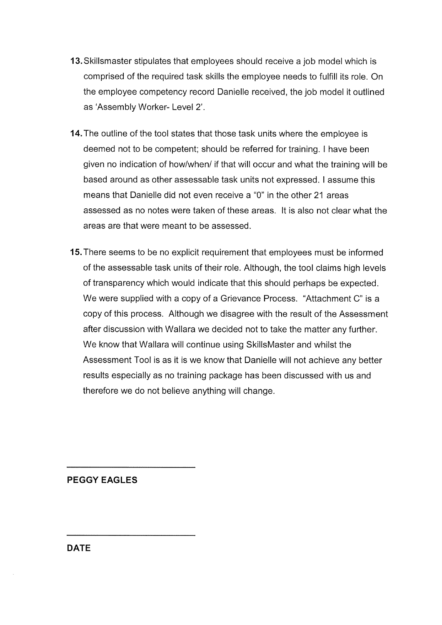- 13. Skillsmaster stipulates that employees should receive a job model which is comprised of the required task skills the employee needs to fulfill its role. On the employee competency record Danielle received, the job model it outlined as 'Assembly Worker- Level 2'.
- 14. The outline of the tool states that those task units where the employee is deemed not to be competent; should be referred for training. I have been given no indication of how/when/ if that will occur and what the training will be based around as other assessable task units not expressed. I assume this means that Danielle did not even receive a "0" in the other 21 areas assessed as no notes were taken of these areas. It is also not clear what the areas are that were meant to be assessed.
- 15. There seems to be no explicit requirement that employees must be informed of the assessable task units of their role. Although, the tool claims high levels of transparency which would indicate that this should perhaps be expected. We were supplied with a copy of a Grievance Process. "Attachment C" is a copy of this process. Although we disagree with the result of the Assessment after discussion with Wallara we decided not to take the matter any further. We know that Wallara will continue using SkillsMaster and whilst the Assessment Tool is as it is we know that Danielle will not achieve any better results especially as no training package has been discussed with us and therefore we do not believe anything will change.

**PEGGY EAGLES** 

**DATE**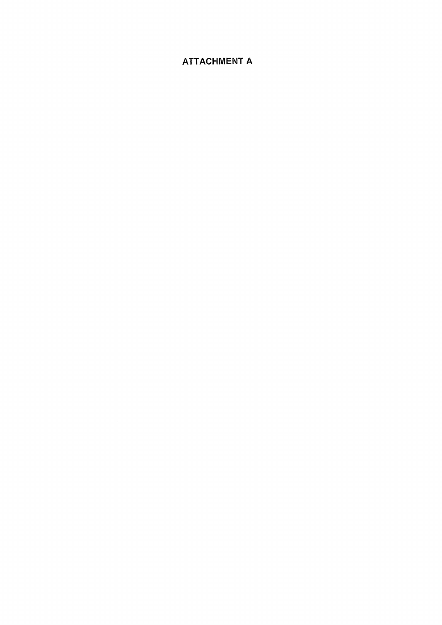# **ATTACHMENT A**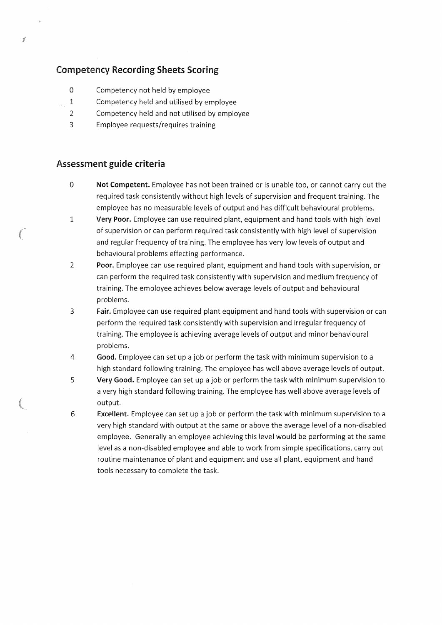### **Competency Recording Sheets Scoring**

- $\Omega$ Competency not held by employee
- $\mathbf{1}$ Competency held and utilised by employee
- $\overline{\phantom{a}}$ Competency held and not utilised by employee
- $\overline{3}$ Employee requests/requires training

### Assessment guide criteria

- $\overline{0}$ Not Competent. Employee has not been trained or is unable too, or cannot carry out the required task consistently without high levels of supervision and frequent training. The employee has no measurable levels of output and has difficult behavioural problems.
- $\mathbf{1}$ Very Poor. Employee can use required plant, equipment and hand tools with high level of supervision or can perform required task consistently with high level of supervision and regular frequency of training. The employee has very low levels of output and behavioural problems effecting performance.
- $\overline{2}$ Poor. Employee can use required plant, equipment and hand tools with supervision, or can perform the required task consistently with supervision and medium frequency of training. The employee achieves below average levels of output and behavioural problems.
- $\overline{3}$ Fair. Employee can use required plant equipment and hand tools with supervision or can perform the required task consistently with supervision and irregular frequency of training. The employee is achieving average levels of output and minor behavioural problems.
- $\overline{4}$ Good. Employee can set up a job or perform the task with minimum supervision to a high standard following training. The employee has well above average levels of output.
- 5 Very Good. Employee can set up a job or perform the task with minimum supervision to a very high standard following training. The employee has well above average levels of output.
- Excellent. Employee can set up a job or perform the task with minimum supervision to a 6 very high standard with output at the same or above the average level of a non-disabled employee. Generally an employee achieving this level would be performing at the same level as a non-disabled employee and able to work from simple specifications, carry out routine maintenance of plant and equipment and use all plant, equipment and hand tools necessary to complete the task.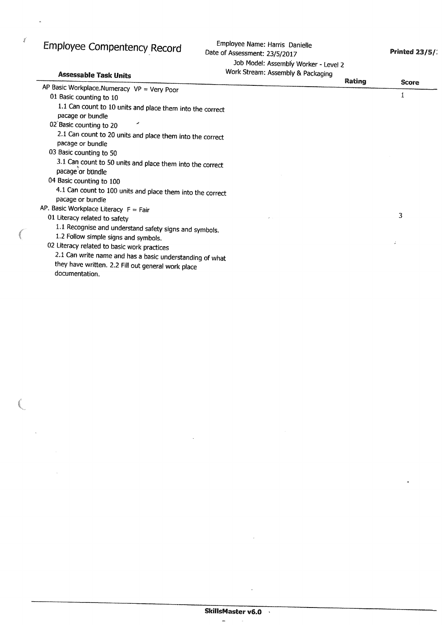# Employee Compentency Record

 $\tilde{g}^{\prime}$ 

 $\bar{\mathcal{A}}$ 

Employee Name: Harris Danielle Date of Assessment: 23/5/2017 Job Model: Assembly Worker - Level 2

**Printed 23/5/:** 

| <b>Assessable Task Units</b>                                                   | Work Stream: Assembly & Packaging |        |       |
|--------------------------------------------------------------------------------|-----------------------------------|--------|-------|
| AP Basic Workplace.Numeracy $VP = Very Poor$                                   |                                   | Rating | Score |
| 01 Basic counting to 10                                                        |                                   |        |       |
| 1.1 Can count to 10 units and place them into the correct<br>pacage or bundle  |                                   |        |       |
| d.<br>02 Basic counting to 20                                                  |                                   |        |       |
| 2.1 Can count to 20 units and place them into the correct<br>pacage or bundle  |                                   |        |       |
| 03 Basic counting to 50                                                        |                                   |        |       |
| 3.1 Can count to 50 units and place them into the correct<br>pacage or bundle  |                                   |        |       |
| 04 Basic counting to 100                                                       |                                   |        |       |
| 4.1 Can count to 100 units and place them into the correct<br>pacage or bundle |                                   |        |       |
| AP. Basic Workplace Literacy $F = Fair$                                        |                                   |        |       |
| 01 Literacy related to safety                                                  |                                   |        | 3     |
| 1.1 Recognise and understand safety signs and symbols.                         |                                   |        |       |
| 1.2 Follow simple signs and symbols.                                           |                                   |        |       |
| 02 Literacy related to basic work practices                                    |                                   |        |       |
| 2.1 Can write name and has a basic understanding of what                       |                                   |        |       |
| they have written. 2.2 Fill out general work place                             |                                   |        |       |
| documentation.                                                                 |                                   |        |       |

 $\overline{a}$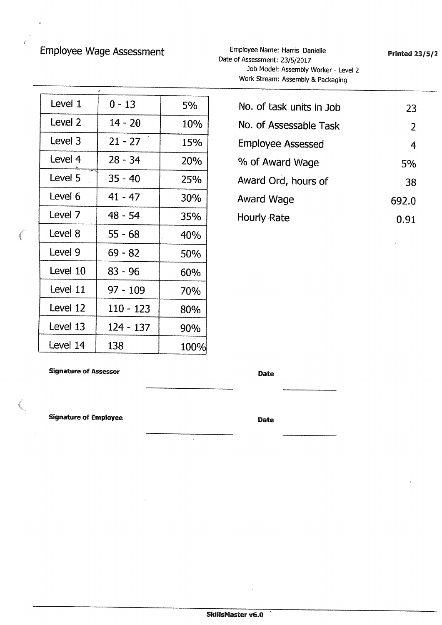# Employee Wage Assessment

Employee Name: Harris Danielle Date of Assessment: 23/5/2017 Job Model: Assembly Worker - Level 2 Work Stream: Assembly & Packaging

| Level 1  | $0 - 13$  | 5%   |
|----------|-----------|------|
| Level 2  | $14 - 20$ | 10%  |
| Level 3  | $21 - 27$ | 15%  |
| Level 4  | $28 - 34$ | 20%  |
| Level 5  | $35 - 40$ | 25%  |
| Level 6  | $41 - 47$ | 30%  |
| Level 7  | 48 - 54   | 35%  |
| Level 8  | $55 - 68$ | 40%  |
| Level 9  | $69 - 82$ | 50%  |
| Level 10 | $83 - 96$ | 60%  |
| Level 11 | 97 - 109  | 70%  |
| Level 12 | 110 - 123 | 80%  |
| Level 13 | 124 - 137 | 90%  |
| Level 14 | 138       | 100% |

**Signature of Assessor** 

**Signature of Employee** 

Date

**Date** 

| No. of task units in Job | 23    |
|--------------------------|-------|
| No. of Assessable Task   | 2     |
| <b>Employee Assessed</b> | 4     |
| % of Award Wage          | 5%    |
| Award Ord, hours of      | 38    |
| Award Wage               | 692.0 |
| Hourly Rate              | 0.91  |

**Printed 23/5/2** 

 $\ddot{\phantom{1}}$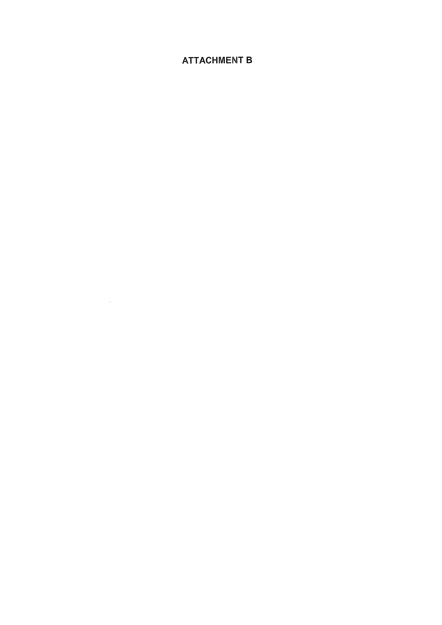## **ATTACHMENT B**

 $\mathcal{L}^{\text{max}}_{\text{max}}$  , where  $\mathcal{L}^{\text{max}}_{\text{max}}$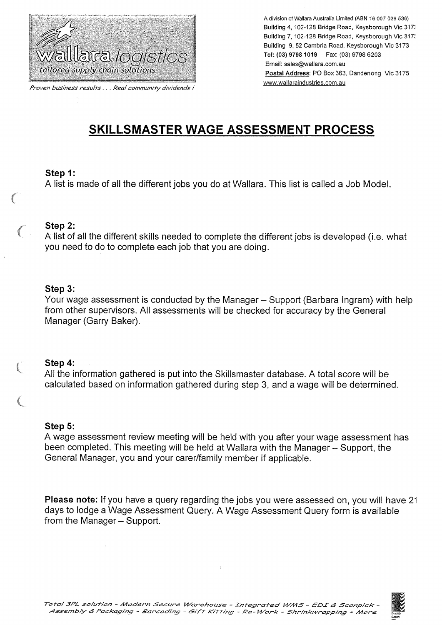

Proven business results . . . Real community dividends !

A division of Wallara Australia Limited (ABN 16 007 039 536) Building 4, 102-128 Bridge Road, Keysborough Vic 3173 Building 7, 102-128 Bridge Road, Keysborough Vic 317: Building 9, 52 Cambria Road, Keysborough Vic 3173 Tel: (03) 9798 1019 Fax: (03) 9798 6203 Email: sales@wallara.com.au Postal Address: PO Box 363, Dandenong Vic 3175 www.wallaraindustries.com.au

# SKILLSMASTER WAGE ASSESSMENT PROCESS

### Step 1:

A list is made of all the different jobs you do at Wallara. This list is called a Job Model.

#### Step 2:

A list of all the different skills needed to complete the different jobs is developed (i.e. what you need to do to complete each job that you are doing.

### Step 3:

Your wage assessment is conducted by the Manager – Support (Barbara Ingram) with help from other supervisors. All assessments will be checked for accuracy by the General Manager (Garry Baker).

### Step 4:

All the information gathered is put into the Skillsmaster database. A total score will be calculated based on information gathered during step 3, and a wage will be determined.

#### Step 5:

A wage assessment review meeting will be held with you after your wage assessment has been completed. This meeting will be held at Wallara with the Manager – Support, the General Manager, you and your carer/family member if applicable.

Please note: If you have a query regarding the jobs you were assessed on, you will have 21 days to lodge a Wage Assessment Query. A Wage Assessment Query form is available from the Manager - Support.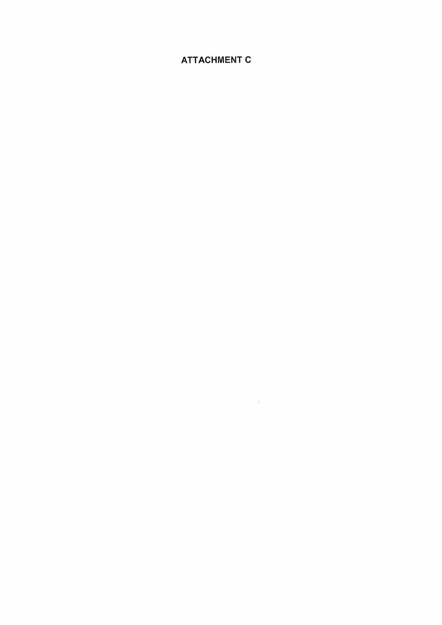# **ATTACHMENT C**

 $\mathcal{L}^{\text{max}}_{\text{max}}$  and  $\mathcal{L}^{\text{max}}_{\text{max}}$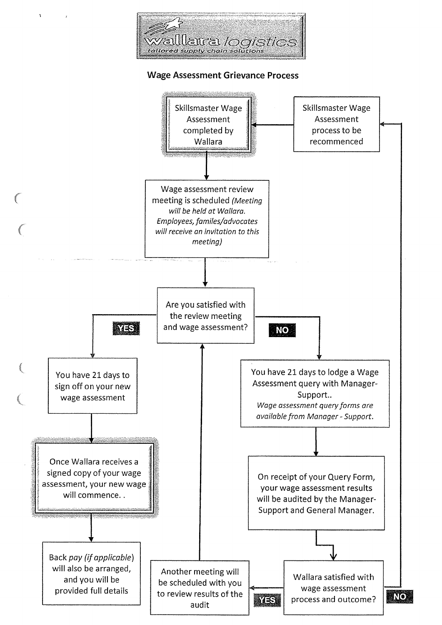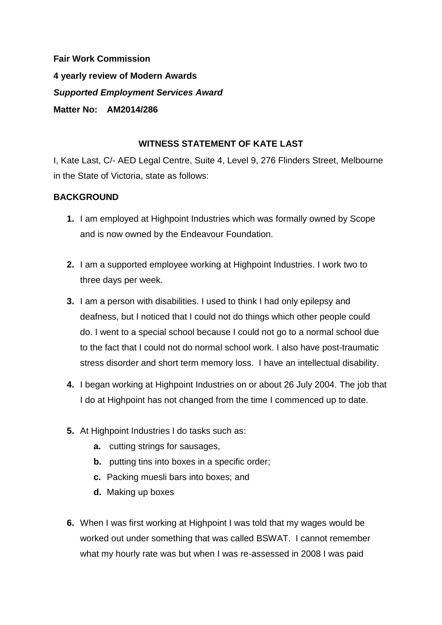**Fair Work Commission 4 yearly review of Modern Awards**  *Supported Employment Services Award*  **Matter No: AM2014/286**

### **WITNESS STATEMENT OF KATE LAST**

I, Kate Last, C/- AED Legal Centre, Suite 4, Level 9, 276 Flinders Street, Melbourne in the State of Victoria, state as follows:

### **BACKGROUND**

- **1.** I am employed at Highpoint Industries which was formally owned by Scope and is now owned by the Endeavour Foundation.
- **2.** I am a supported employee working at Highpoint Industries. I work two to three days per week.
- **3.** I am a person with disabilities. I used to think I had only epilepsy and deafness, but I noticed that I could not do things which other people could do. I went to a special school because I could not go to a normal school due to the fact that I could not do normal school work. I also have post-traumatic stress disorder and short term memory loss. I have an intellectual disability.
- **4.** I began working at Highpoint Industries on or about 26 July 2004. The job that I do at Highpoint has not changed from the time I commenced up to date.
- **5.** At Highpoint Industries I do tasks such as:
	- **a.** cutting strings for sausages,
	- **b.** putting tins into boxes in a specific order;
	- **c.** Packing muesli bars into boxes; and
	- **d.** Making up boxes
- **6.** When I was first working at Highpoint I was told that my wages would be worked out under something that was called BSWAT. I cannot remember what my hourly rate was but when I was re-assessed in 2008 I was paid